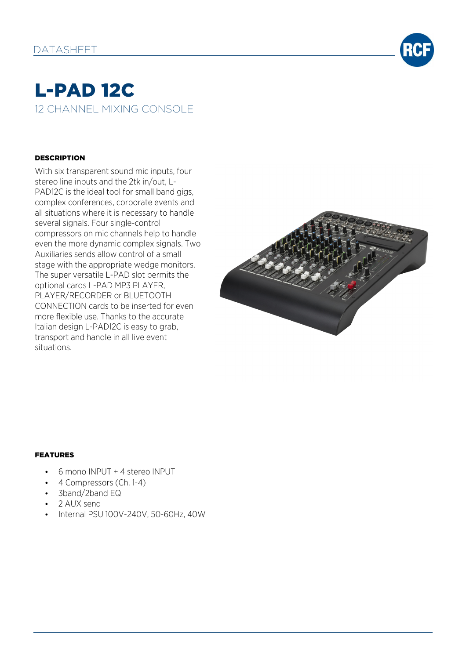

# L-PAD 12C 12 CHANNEL MIXING CONSOLE

#### **DESCRIPTION**

With six transparent sound mic inputs, four stereo line inputs and the 2tk in/out, L-PAD12C is the ideal tool for small band gigs, complex conferences, corporate events and all situations where it is necessary to handle several signals. Four single-control compressors on mic channels help to handle even the more dynamic complex signals. Two Auxiliaries sends allow control of a small stage with the appropriate wedge monitors. The super versatile L-PAD slot permits the optional cards L-PAD MP3 PLAYER, PLAYER/RECORDER or BLUETOOTH CONNECTION cards to be inserted for even more flexible use. Thanks to the accurate Italian design L-PAD12C is easy to grab, transport and handle in all live event situations.



### FEATURES

- 6 mono INPUT + 4 stereo INPUT
- 4 Compressors (Ch. 1-4)
- 3band/2band EQ
- 2 AUX send
- Internal PSU 100V-240V, 50-60Hz, 40W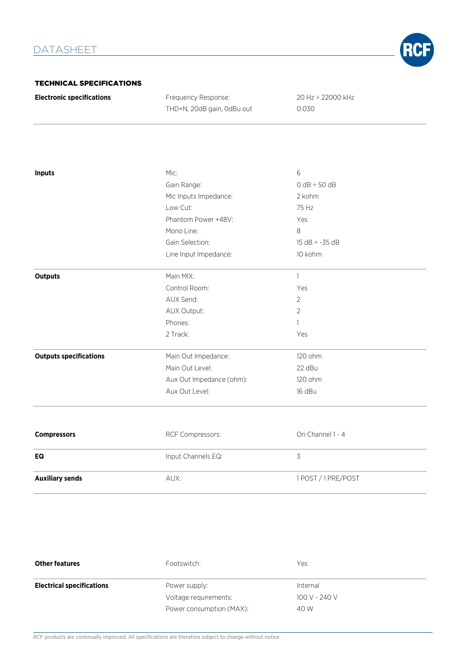

#### TECHNICAL SPECIFICATIONS

| <b>Electronic specifications</b> | Frequency Response:        | 20 Hz ÷ 22000 kHz |
|----------------------------------|----------------------------|-------------------|
|                                  | THD+N, 20dB gain, 0dBu out | 0.030             |

| <b>Inputs</b>                 | Mic:                     | 6                   |
|-------------------------------|--------------------------|---------------------|
|                               | Gain Range:              | $0 dB \div 50 dB$   |
|                               | Mic Inputs Impedance:    | 2 kohm              |
|                               | Low Cut:                 | 75 Hz               |
|                               | Phantom Power +48V:      | Yes                 |
|                               | Mono Line:               | 8                   |
|                               | Gain Selection:          | $15 dB \div -35 dB$ |
|                               | Line Input Impedance:    | 10 kohm             |
| <b>Outputs</b>                | Main MIX:                | $\mathbf{1}$        |
|                               | Control Room:            | Yes                 |
|                               | AUX Send:                | $\overline{2}$      |
|                               | AUX Output:              | $\overline{2}$      |
|                               | Phones:                  | 1                   |
|                               | 2 Track:                 | Yes                 |
| <b>Outputs specifications</b> | Main Out Impedance:      | 120 ohm             |
|                               | Main Out Level:          | 22 dBu              |
|                               | Aux Out Impedance (ohm): | 120 ohm             |
|                               | Aux Out Level:           | 16 dBu              |
|                               |                          |                     |
| <b>Compressors</b>            | RCF Compressors:         | On Channel 1 - 4    |
| EQ                            | Input Channels EQ:       | $\overline{3}$      |
| <b>Auxiliary sends</b>        | AUX:                     | 1POST / 1PRE/POST   |

| <b>Other features</b>            | Footswitch:              | Yes           |
|----------------------------------|--------------------------|---------------|
| <b>Electrical specifications</b> | Power supply:            | Internal      |
|                                  | Voltage requirements:    | 100 V - 240 V |
|                                  | Power consumption (MAX): | 40 W          |